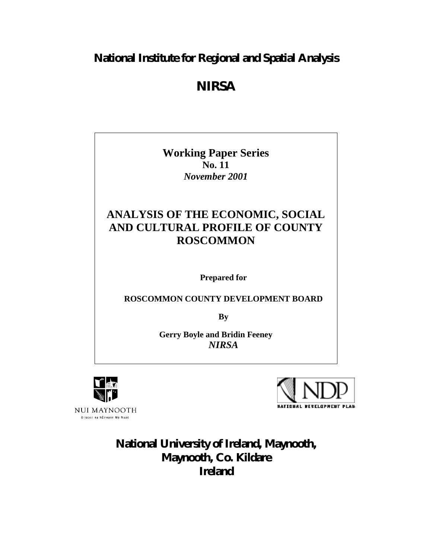# **National Institute for Regional and Spatial Analysis**

# *NIRSA*

**Working Paper Series No. 11** *November 2001*

# **ANALYSIS OF THE ECONOMIC, SOCIAL AND CULTURAL PROFILE OF COUNTY ROSCOMMON**

**Prepared for**

**ROSCOMMON COUNTY DEVELOPMENT BOARD**

**By**

**Gerry Boyle and Bridin Feeney** *NIRSA*



NUI MAYNOOTH Oliscoil na hÉireann Má Nuad



**National University of Ireland, Maynooth, Maynooth, Co. Kildare Ireland**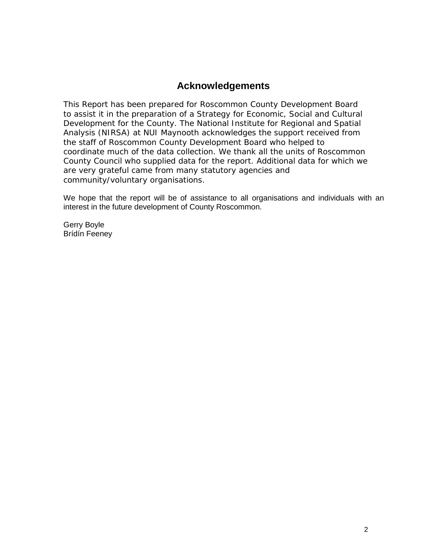# **Acknowledgements**

This Report has been prepared for Roscommon County Development Board to assist it in the preparation of a Strategy for Economic, Social and Cultural Development for the County. The National Institute for Regional and Spatial Analysis (NIRSA) at NUI Maynooth acknowledges the support received from the staff of Roscommon County Development Board who helped to coordinate much of the data collection. We thank all the units of Roscommon County Council who supplied data for the report. Additional data for which we are very grateful came from many statutory agencies and community/voluntary organisations.

We hope that the report will be of assistance to all organisations and individuals with an interest in the future development of County Roscommon.

Gerry Boyle Brídín Feeney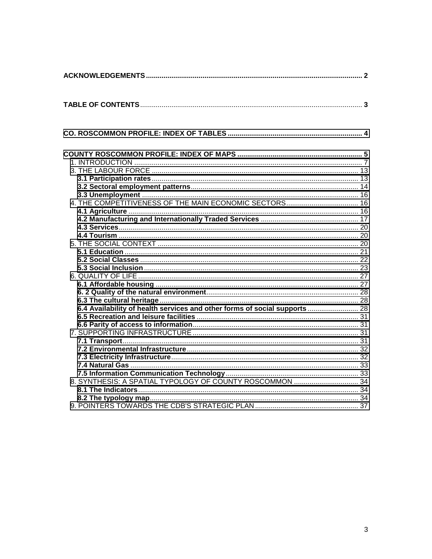| 6.4 Availability of health services and other forms of social supports  28 |  |
|----------------------------------------------------------------------------|--|
|                                                                            |  |
|                                                                            |  |
|                                                                            |  |
|                                                                            |  |
|                                                                            |  |
|                                                                            |  |
|                                                                            |  |
|                                                                            |  |
|                                                                            |  |
|                                                                            |  |
|                                                                            |  |
|                                                                            |  |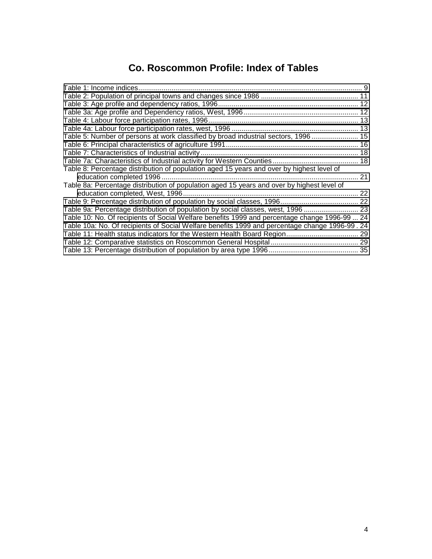# **Co. Roscommon Profile: Index of Tables**

<span id="page-3-0"></span>

| Table 5: Number of persons at work classified by broad industrial sectors, 1996 15             |    |
|------------------------------------------------------------------------------------------------|----|
|                                                                                                |    |
|                                                                                                |    |
|                                                                                                |    |
| Table 8: Percentage distribution of population aged 15 years and over by highest level of      |    |
|                                                                                                | 21 |
| Table 8a: Percentage distribution of population aged 15 years and over by highest level of     |    |
|                                                                                                | 22 |
|                                                                                                |    |
| Table 9a: Percentage distribution of population by social classes, west, 1996  23              |    |
| Table 10: No. Of recipients of Social Welfare benefits 1999 and percentage change 1996-99  24  |    |
| Table 10a: No. Of recipients of Social Welfare benefits 1999 and percentage change 1996-99. 24 |    |
|                                                                                                | 29 |
|                                                                                                |    |
|                                                                                                |    |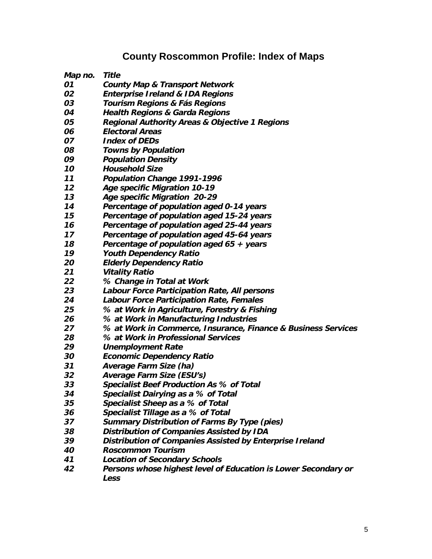# **County Roscommon Profile: Index of Maps**

<span id="page-4-0"></span>**Map no. Title**

- **County Map & Transport Network**
- **Enterprise Ireland & IDA Regions**
- **Tourism Regions & Fás Regions**
- **Health Regions & Garda Regions**
- **Regional Authority Areas & Objective 1 Regions**
- **Electoral Areas**
- **Index of DEDs**
- **Towns by Population**
- **Population Density**
- **Household Size**
- **Population Change 1991-1996**
- **Age specific Migration 10-19**
- **Age specific Migration 20-29**
- **Percentage of population aged 0-14 years**
- **Percentage of population aged 15-24 years**
- **Percentage of population aged 25-44 years**
- **Percentage of population aged 45-64 years**
- **Percentage of population aged 65 + years**
- **Youth Dependency Ratio**
- **Elderly Dependency Ratio**
- **Vitality Ratio**
- **% Change in Total at Work**
- **Labour Force Participation Rate, All persons**
- **Labour Force Participation Rate, Females**
- **% at Work in Agriculture, Forestry & Fishing**
- **% at Work in Manufacturing Industries**
- **% at Work in Commerce, Insurance, Finance & Business Services**
- **% at Work in Professional Services**
- **Unemployment Rate**
- **Economic Dependency Ratio**
- **Average Farm Size (ha)**
- **Average Farm Size (ESU's)**
- **Specialist Beef Production As % of Total**
- **Specialist Dairying as a % of Total**
- **Specialist Sheep as a % of Total**
- **Specialist Tillage as a % of Total**
- **Summary Distribution of Farms By Type (pies)**
- **Distribution of Companies Assisted by IDA**
- **Distribution of Companies Assisted by Enterprise Ireland**
- **Roscommon Tourism**
- **Location of Secondary Schools**
- **Persons whose highest level of Education is Lower Secondary or Less**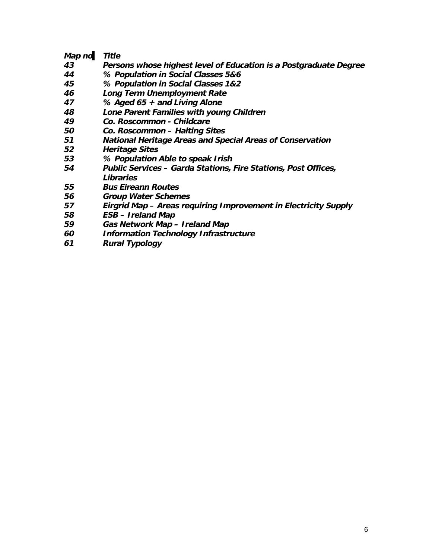## **Map no. Title**

- **Persons whose highest level of Education is a Postgraduate Degree**
- **% Population in Social Classes 5&6**
- **% Population in Social Classes 1&2**
- **Long Term Unemployment Rate**
- **% Aged 65 + and Living Alone**
- **Lone Parent Families with young Children**
- **Co. Roscommon Childcare**
- **Co. Roscommon Halting Sites**
- **National Heritage Areas and Special Areas of Conservation**
- **Heritage Sites**
- **% Population Able to speak Irish**
- **Public Services Garda Stations, Fire Stations, Post Offices, Libraries**
- **Bus Eireann Routes**
- **Group Water Schemes**
- **Eirgrid Map Areas requiring Improvement in Electricity Supply**
- **ESB Ireland Map**
- **Gas Network Map Ireland Map**
- **Information Technology Infrastructure**
- **Rural Typology**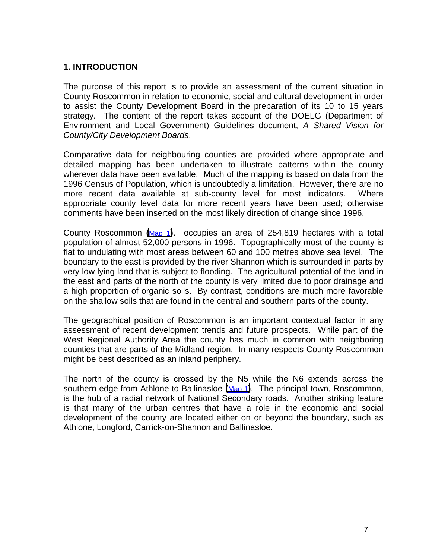# <span id="page-6-0"></span>**1. INTRODUCTION**

The purpose of this report is to provide an assessment of the current situation in County Roscommon in relation to economic, social and cultural development in order to assist the County Development Board in the preparation of its 10 to 15 years strategy. The content of the report takes account of the DOELG (Department of Environment and Local Government) Guidelines document, *A Shared Vision for County/City Development Boards*.

Comparative data for neighbouring counties are provided where appropriate and detailed mapping has been undertaken to illustrate patterns within the county wherever data have been available. Much of the mapping is based on data from the 1996 Census of Population, which is undoubtedly a limitation. However, there are no more recent data available at sub-county level for most indicators. Where appropriate county level data for more recent years have been used; otherwise comments have been inserted on the most likely direction of change since 1996.

County Roscommon **(**Map 1**)**. occupies an area of 254,819 hectares with a total population of almost 52,000 persons in 1996. Topographically most of the county is flat to undulating with most areas between 60 and 100 metres above sea level. The boundary to the east is provided by the river Shannon which is surrounded in parts by very low lying land that is subject to flooding. The agricultural potential of the land in the east and parts of the north of the county is very limited due to poor drainage and a high proportion of organic soils. By contrast, conditions are much more favorable on the shallow soils that are found in the central and southern parts of the county.

The geographical position of Roscommon is an important contextual factor in any assessment of recent development trends and future prospects. While part of the West Regional Authority Area the county has much in common with neighboring counties that are parts of the Midland region. In many respects County Roscommon might be best described as an inland periphery.

The north of the county is crossed by the N5 while the N6 extends across the southern edge from Athlone to Ballinasloe **(**Map 1**)**. The principal town, Roscommon, is the hub of a radial network of National Secondary roads. Another striking feature is that many of the urban centres that have a role in the economic and social development of the county are located either on or beyond the boundary, such as Athlone, Longford, Carrick-on-Shannon and Ballinasloe.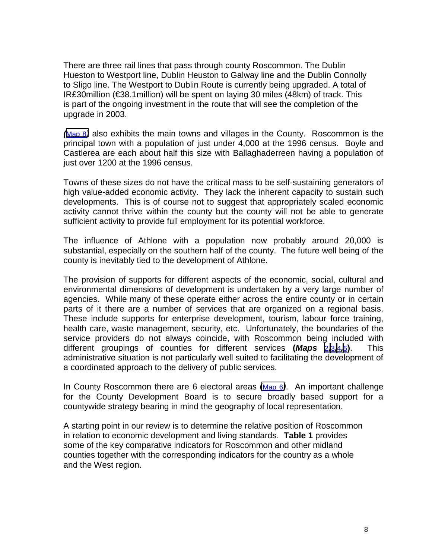There are three rail lines that pass through county Roscommon. The Dublin Hueston to Westport line, Dublin Heuston to Galway line and the Dublin Connolly to Sligo line. The Westport to Dublin Route is currently being upgraded. A total of IR£30million (€38.1million) will be spent on laying 30 miles (48km) of track. This is part of the ongoing investment in the route that will see the completion of the upgrade in 2003.

*(*Map 8*)* also exhibits the main towns and villages in the County. Roscommon is the principal town with a population of just under 4,000 at the 1996 census. Boyle and Castlerea are each about half this size with Ballaghaderreen having a population of just over 1200 at the 1996 census.

Towns of these sizes do not have the critical mass to be self-sustaining generators of high value-added economic activity. They lack the inherent capacity to sustain such developments. This is of course not to suggest that appropriately scaled economic activity cannot thrive within the county but the county will not be able to generate sufficient activity to provide full employment for its potential workforce.

The influence of Athlone with a population now probably around 20,000 is substantial, especially on the southern half of the county. The future well being of the county is inevitably tied to the development of Athlone.

The provision of supports for different aspects of the economic, social, cultural and environmental dimensions of development is undertaken by a very large number of agencies. While many of these operate either across the entire county or in certain parts of it there are a number of services that are organized on a regional basis. These include supports for enterprise development, tourism, labour force training, health care, waste management, security, etc. Unfortunately, the boundaries of the service providers do not always coincide, with Roscommon being included with different groupings of counties for different services **(***Maps* 2*,*3*,*4*,*5**)**. This administrative situation is not particularly well suited to facilitating the development of a coordinated approach to the delivery of public services.

In County Roscommon there are 6 electoral areas **(**Map 6*)*. An important challenge for the County Development Board is to secure broadly based support for a countywide strategy bearing in mind the geography of local representation.

A starting point in our review is to determine the relative position of Roscommon in relation to economic development and living standards. **Table 1** provides some of the key comparative indicators for Roscommon and other midland counties together with the corresponding indicators for the country as a whole and the West region.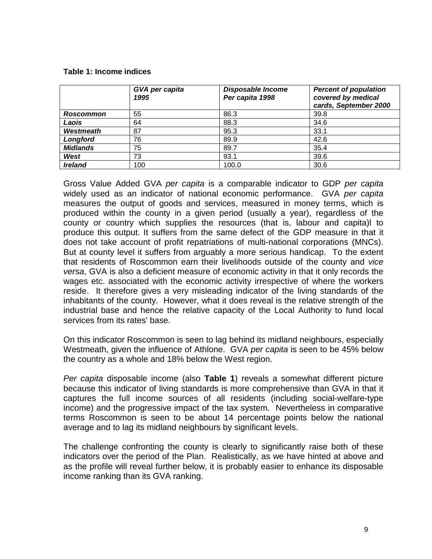#### <span id="page-8-0"></span>**Table 1: Income indices**

|                 | GVA per capita<br>1995 | <b>Disposable Income</b><br>Per capita 1998 | <b>Percent of population</b><br>covered by medical<br>cards, September 2000 |
|-----------------|------------------------|---------------------------------------------|-----------------------------------------------------------------------------|
| Roscommon       | 55                     | 86.3                                        | 39.8                                                                        |
| Laois           | 64                     | 88.3                                        | 34.6                                                                        |
| Westmeath       | 87                     | 95.3                                        | 33.1                                                                        |
| Longford        | 76                     | 89.9                                        | 42.6                                                                        |
| <b>Midlands</b> | 75                     | 89.7                                        | 35.4                                                                        |
| West            | 73                     | 93.1                                        | 39.6                                                                        |
| <b>Ireland</b>  | 100                    | 100.0                                       | 30.6                                                                        |

Gross Value Added GVA *per capita* is a comparable indicator to GDP *per capita* widely used as an indicator of national economic performance. GVA *per capita* measures the output of goods and services, measured in money terms, which is produced within the county in a given period (usually a year), regardless of the county or country which supplies the resources (that is, labour and capita)l to produce this output. It suffers from the same defect of the GDP measure in that it does not take account of profit repatriations of multi-national corporations (MNCs). But at county level it suffers from arguably a more serious handicap. To the extent that residents of Roscommon earn their livelihoods outside of the county and *vice versa*, GVA is also a deficient measure of economic activity in that it only records the wages etc. associated with the economic activity irrespective of where the workers reside. It therefore gives a very misleading indicator of the living standards of the inhabitants of the county. However, what it does reveal is the relative strength of the industrial base and hence the relative capacity of the Local Authority to fund local services from its rates' base.

On this indicator Roscommon is seen to lag behind its midland neighbours, especially Westmeath, given the influence of Athlone. GVA *per capita* is seen to be 45% below the country as a whole and 18% below the West region.

*Per capita* disposable income (also **Table 1**) reveals a somewhat different picture because this indicator of living standards is more comprehensive than GVA in that it captures the full income sources of all residents (including social-welfare-type income) and the progressive impact of the tax system. Nevertheless in comparative terms Roscommon is seen to be about 14 percentage points below the national average and to lag its midland neighbours by significant levels.

The challenge confronting the county is clearly to significantly raise both of these indicators over the period of the Plan. Realistically, as we have hinted at above and as the profile will reveal further below, it is probably easier to enhance its disposable income ranking than its GVA ranking.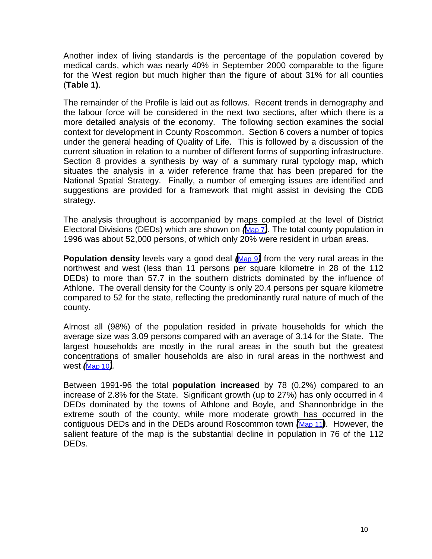Another index of living standards is the percentage of the population covered by medical cards, which was nearly 40% in September 2000 comparable to the figure for the West region but much higher than the figure of about 31% for all counties (**Table 1)**.

The remainder of the Profile is laid out as follows. Recent trends in demography and the labour force will be considered in the next two sections, after which there is a more detailed analysis of the economy. The following section examines the social context for development in County Roscommon. Section 6 covers a number of topics under the general heading of Quality of Life. This is followed by a discussion of the current situation in relation to a number of different forms of supporting infrastructure. Section 8 provides a synthesis by way of a summary rural typology map, which situates the analysis in a wider reference frame that has been prepared for the National Spatial Strategy. Finally, a number of emerging issues are identified and suggestions are provided for a framework that might assist in devising the CDB strategy.

The analysis throughout is accompanied by maps compiled at the level of District Electoral Divisions (DEDs) which are shown on *(*Map 7*)*. The total county population in 1996 was about 52,000 persons, of which only 20% were resident in urban areas.

**Population density** levels vary a good deal *(*Map 9*)* from the very rural areas in the northwest and west (less than 11 persons per square kilometre in 28 of the 112 DEDs) to more than 57.7 in the southern districts dominated by the influence of Athlone. The overall density for the County is only 20.4 persons per square kilometre compared to 52 for the state, reflecting the predominantly rural nature of much of the county.

Almost all (98%) of the population resided in private households for which the average size was 3.09 persons compared with an average of 3.14 for the State. The largest households are mostly in the rural areas in the south but the greatest concentrations of smaller households are also in rural areas in the northwest and west *(*Map 10*).*

Between 1991-96 the total **population increased** by 78 (0.2%) compared to an increase of 2.8% for the State. Significant growth (up to 27%) has only occurred in 4 DEDs dominated by the towns of Athlone and Boyle, and Shannonbridge in the extreme south of the county, while more moderate growth has occurred in the contiguous DEDs and in the DEDs around Roscommon town *(*Map 11*)*. However, the salient feature of the map is the substantial decline in population in 76 of the 112 DEDs.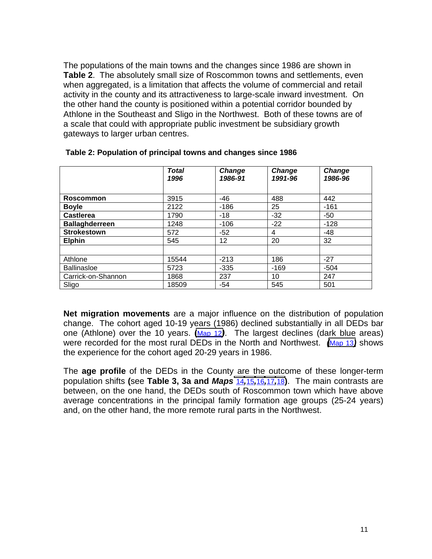<span id="page-10-0"></span>The populations of the main towns and the changes since 1986 are shown in **Table 2**. The absolutely small size of Roscommon towns and settlements, even when aggregated, is a limitation that affects the volume of commercial and retail activity in the county and its attractiveness to large-scale inward investment. On the other hand the county is positioned within a potential corridor bounded by Athlone in the Southeast and Sligo in the Northwest. Both of these towns are of a scale that could with appropriate public investment be subsidiary growth gateways to larger urban centres.

|                       | <b>Total</b><br>1996 | Change<br>1986-91 | <b>Change</b><br>1991-96 | <b>Change</b><br>1986-96 |
|-----------------------|----------------------|-------------------|--------------------------|--------------------------|
|                       |                      |                   |                          |                          |
| <b>Roscommon</b>      | 3915                 | $-46$             | 488                      | 442                      |
| <b>Boyle</b>          | 2122                 | $-186$            | 25                       | $-161$                   |
| <b>Castlerea</b>      | 1790                 | $-18$             | $-32$                    | $-50$                    |
| <b>Ballaghderreen</b> | 1248                 | $-106$            | $-22$                    | $-128$                   |
| <b>Strokestown</b>    | 572                  | $-52$             | 4                        | $-48$                    |
| <b>Elphin</b>         | 545                  | 12 <sub>2</sub>   | 20                       | 32                       |
|                       |                      |                   |                          |                          |
| Athlone               | 15544                | $-213$            | 186                      | $-27$                    |
| <b>Ballinasloe</b>    | 5723                 | $-335$            | $-169$                   | $-504$                   |
| Carrick-on-Shannon    | 1868                 | 237               | 10                       | 247                      |
| Sligo                 | 18509                | $-54$             | 545                      | 501                      |

#### **Table 2: Population of principal towns and changes since 1986**

**Net migration movements** are a major influence on the distribution of population change. The cohort aged 10-19 years (1986) declined substantially in all DEDs bar one (Athlone) over the 10 years. **(**Map 12*)*. The largest declines (dark blue areas) were recorded for the most rural DEDs in the North and Northwest. *(*Map 13*)* shows the experience for the cohort aged 20-29 years in 1986.

The **age profile** of the DEDs in the County are the outcome of these longer-term population shifts **(**see **Table 3, 3a and** *Maps* 14*,*15*,*16*,*17*,*18**)**. The main contrasts are between, on the one hand, the DEDs south of Roscommon town which have above average concentrations in the principal family formation age groups (25-24 years) and, on the other hand, the more remote rural parts in the Northwest.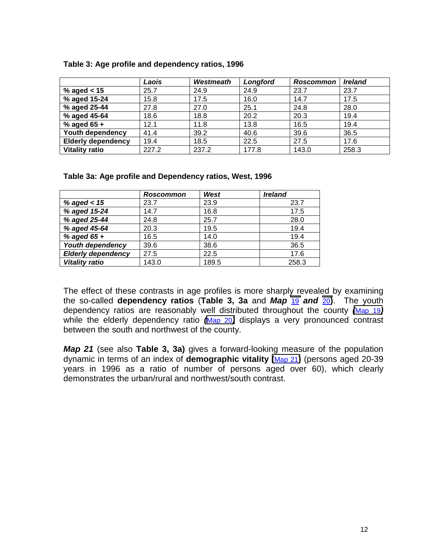|                           | Laois | Westmeath | Longford | <b>Roscommon</b> | <b>Ireland</b> |
|---------------------------|-------|-----------|----------|------------------|----------------|
| % aged $<$ 15             | 25.7  | 24.9      | 24.9     | 23.7             | 23.7           |
| % aged 15-24              | 15.8  | 17.5      | 16.0     | 14.7             | 17.5           |
| % aged 25-44              | 27.8  | 27.0      | 25.1     | 24.8             | 28.0           |
| % aged 45-64              | 18.6  | 18.8      | 20.2     | 20.3             | 19.4           |
| % aged $65 +$             | 12.1  | 11.8      | 13.8     | 16.5             | 19.4           |
| Youth dependency          | 41.4  | 39.2      | 40.6     | 39.6             | 36.5           |
| <b>Elderly dependency</b> | 19.4  | 18.5      | 22.5     | 27.5             | 17.6           |
| <b>Vitality ratio</b>     | 227.2 | 237.2     | 177.8    | 143.0            | 258.3          |

#### <span id="page-11-0"></span>**Table 3: Age profile and dependency ratios, 1996**

**Table 3a: Age profile and Dependency ratios, West, 1996**

|                           | <b>Roscommon</b> | West  | <b>Ireland</b> |
|---------------------------|------------------|-------|----------------|
| % aged $< 15$             | 23.7             | 23.9  | 23.7           |
| % aged 15-24              | 14.7             | 16.8  | 17.5           |
| % aged 25-44              | 24.8             | 25.7  | 28.0           |
| % aged 45-64              | 20.3             | 19.5  | 19.4           |
| % aged $65 +$             | 16.5             | 14.0  | 19.4           |
| Youth dependency          | 39.6             | 38.6  | 36.5           |
| <b>Elderly dependency</b> | 27.5             | 22.5  | 17.6           |
| <b>Vitality ratio</b>     | 143.0            | 189.5 | 258.3          |

The effect of these contrasts in age profiles is more sharply revealed by examining the so-called **dependency ratios** (**Table 3, 3a** and *Map* 19 *and* 20**)**. The youth dependency ratios are reasonably well distributed throughout the county *(*Map 19*)* while the elderly dependency ratio *(*Map 20*)* displays a very pronounced contrast between the south and northwest of the county.

*Map 21* (see also **Table 3, 3a)** gives a forward-looking measure of the population dynamic in terms of an index of **demographic vitality (**Map 21**)** (persons aged 20-39 years in 1996 as a ratio of number of persons aged over 60), which clearly demonstrates the urban/rural and northwest/south contrast.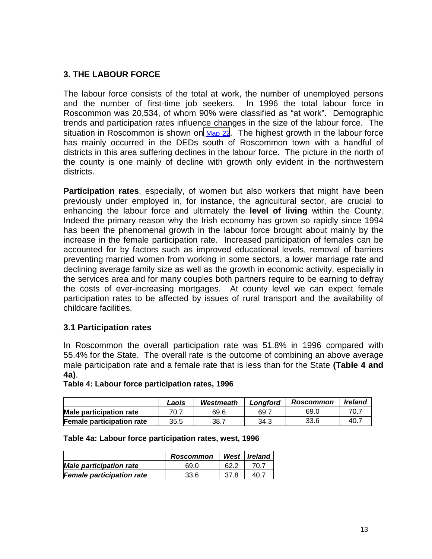# <span id="page-12-0"></span>**3. THE LABOUR FORCE**

The labour force consists of the total at work, the number of unemployed persons and the number of first-time job seekers. In 1996 the total labour force in Roscommon was 20,534, of whom 90% were classified as "at work". Demographic trends and participation rates influence changes in the size of the labour force. The situation in Roscommon is shown on  $Map 22$ . The highest growth in the labour force has mainly occurred in the DEDs south of Roscommon town with a handful of districts in this area suffering declines in the labour force. The picture in the north of the county is one mainly of decline with growth only evident in the northwestern districts.

**Participation rates**, especially, of women but also workers that might have been previously under employed in, for instance, the agricultural sector, are crucial to enhancing the labour force and ultimately the **level of living** within the County. Indeed the primary reason why the Irish economy has grown so rapidly since 1994 has been the phenomenal growth in the labour force brought about mainly by the increase in the female participation rate. Increased participation of females can be accounted for by factors such as improved educational levels, removal of barriers preventing married women from working in some sectors, a lower marriage rate and declining average family size as well as the growth in economic activity, especially in the services area and for many couples both partners require to be earning to defray the costs of ever-increasing mortgages. At county level we can expect female participation rates to be affected by issues of rural transport and the availability of childcare facilities.

### **3.1 Participation rates**

In Roscommon the overall participation rate was 51.8% in 1996 compared with 55.4% for the State. The overall rate is the outcome of combining an above average male participation rate and a female rate that is less than for the State **(Table 4 and 4a)**.

#### **Table 4: Labour force participation rates, 1996**

|                                  | Laois | Westmeath | Lonaford | <b>Roscommon</b> | <b>Ireland</b> |
|----------------------------------|-------|-----------|----------|------------------|----------------|
| <b>Male participation rate</b>   | 70.7  | 69.6      | 69.7     | 69.0             | 70.7           |
| <b>Female participation rate</b> | 35.5  | 38.7      | 34.3     | 33.6             | 40.7           |

#### **Table 4a: Labour force participation rates, west, 1996**

|                                  | <b>Roscommon</b> | West | l Ireland |
|----------------------------------|------------------|------|-----------|
| <b>Male participation rate</b>   | 69.0             |      |           |
| <b>Female participation rate</b> | 33.6             | 37.8 |           |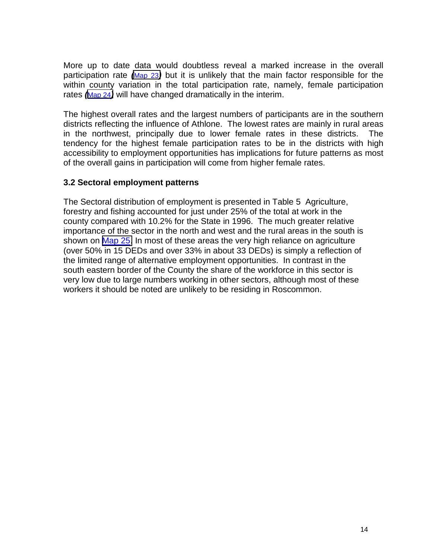<span id="page-13-0"></span>More up to date data would doubtless reveal a marked increase in the overall participation rate *(*Map 23*)* but it is unlikely that the main factor responsible for the within county variation in the total participation rate, namely, female participation rates *(*Map 24*)* will have changed dramatically in the interim.

The highest overall rates and the largest numbers of participants are in the southern districts reflecting the influence of Athlone. The lowest rates are mainly in rural areas in the northwest, principally due to lower female rates in these districts. The tendency for the highest female participation rates to be in the districts with high accessibility to employment opportunities has implications for future patterns as most of the overall gains in participation will come from higher female rates.

## **3.2 Sectoral employment patterns**

The Sectoral distribution of employment is presented in Table 5 Agriculture, forestry and fishing accounted for just under 25% of the total at work in the county compared with 10.2% for the State in 1996. The much greater relative importance of the sector in the north and west and the rural areas in the south is shown on Map 25. In most of these areas the very high reliance on agriculture (over 50% in 15 DEDs and over 33% in about 33 DEDs) is simply a reflection of the limited range of alternative employment opportunities. In contrast in the south eastern border of the County the share of the workforce in this sector is very low due to large numbers working in other sectors, although most of these workers it should be noted are unlikely to be residing in Roscommon.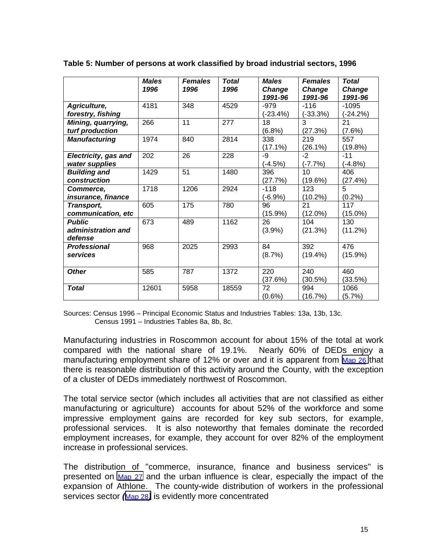|                                                | <b>Males</b><br>1996 | <b>Females</b><br>1996 | <b>Total</b><br>1996 | <b>Males</b><br>Change<br>1991-96 | <b>Females</b><br>Change<br>1991-96 | <b>Total</b><br>Change<br>1991-96 |
|------------------------------------------------|----------------------|------------------------|----------------------|-----------------------------------|-------------------------------------|-----------------------------------|
| Agriculture,<br>forestry, fishing              | 4181                 | 348                    | 4529                 | $-979$<br>(-23.4%)                | $-116$<br>$(-33.3%)$                | $-1095$<br>$(-24.2%)$             |
| Mining, quarrying,<br>turf production          | 266                  | 11                     | 277                  | 18<br>(6.8%)                      | $\overline{3}$<br>(27.3%)           | 21<br>$(7.6\%)$                   |
| <b>Manufacturing</b>                           | 1974                 | 840                    | 2814                 | 338<br>$(17.1\%)$                 | 219<br>$(26.1\%)$                   | 557<br>(19.8%)                    |
| <b>Electricity, gas and</b><br>water supplies  | 202                  | 26                     | 228                  | -9<br>$(-4.5%)$                   | $-2$<br>$(-7.7%)$                   | $-11$<br>$(-4.8%)$                |
| <b>Building and</b><br>construction            | 1429                 | 51                     | 1480                 | 396<br>(27.7%)                    | 10<br>(19.6%)                       | 406<br>(27.4%)                    |
| <b>Commerce,</b><br>insurance, finance         | 1718                 | 1206                   | 2924                 | $-118$<br>$(-6.9%)$               | 123<br>$(10.2\%)$                   | 5<br>(0.2%)                       |
| Transport,<br>communication, etc               | 605                  | 175                    | 780                  | 96<br>$(15.9\%)$                  | 21<br>$(12.0\%)$                    | 117<br>$(15.0\%)$                 |
| <b>Public</b><br>administration and<br>defense | 673                  | 489                    | 1162                 | 26<br>$(3.9\%)$                   | 104<br>(21.3%)                      | 130<br>(11.2%)                    |
| <b>Professional</b><br>services                | 968                  | 2025                   | 2993                 | 84<br>(8.7%)                      | 392<br>$(19.4\%)$                   | 476<br>$(15.9\%)$                 |
| <b>Other</b>                                   | 585                  | 787                    | 1372                 | 220<br>(37.6%)                    | 240<br>(30.5%)                      | 460<br>(33.5%)                    |
| <b>Total</b>                                   | 12601                | 5958                   | 18559                | 72<br>$(0.6\%)$                   | 994<br>(16.7%)                      | 1066<br>(5.7%)                    |

<span id="page-14-0"></span>**Table 5: Number of persons at work classified by broad industrial sectors, 1996**

Sources: Census 1996 – Principal Economic Status and Industries Tables: 13a, 13b, 13c. Census 1991 – Industries Tables 8a, 8b, 8c.

Manufacturing industries in Roscommon account for about 15% of the total at work compared with the national share of 19.1%. Nearly 60% of DEDs enjoy a manufacturing employment share of 12% or over and it is apparent from Map 26 that there is reasonable distribution of this activity around the County, with the exception of a cluster of DEDs immediately northwest of Roscommon.

The total service sector (which includes all activities that are not classified as either manufacturing or agriculture) accounts for about 52% of the workforce and some impressive employment gains are recorded for key sub sectors, for example, professional services. It is also noteworthy that females dominate the recorded employment increases, for example, they account for over 82% of the employment increase in professional services.

The distribution of "commerce, insurance, finance and business services" is presented on Map 27 and the urban influence is clear, especially the impact of the expansion of Athlone. The county-wide distribution of workers in the professional services sector *(*Map 28*)* is evidently more concentrated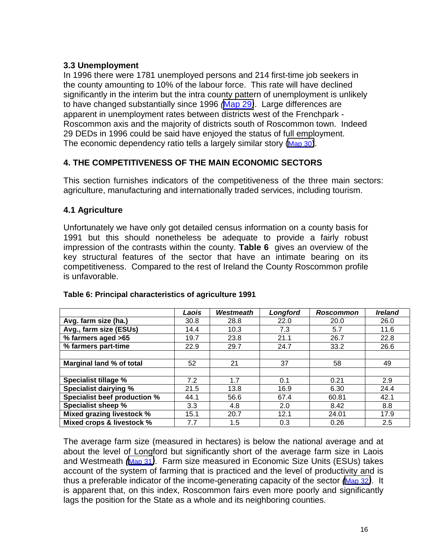# <span id="page-15-0"></span>**3.3 Unemployment**

In 1996 there were 1781 unemployed persons and 214 first-time job seekers in the county amounting to 10% of the labour force. This rate will have declined significantly in the interim but the intra county pattern of unemployment is unlikely to have changed substantially since 1996 *(*Map 29*)*. Large differences are apparent in unemployment rates between districts west of the Frenchpark - Roscommon axis and the majority of districts south of Roscommon town. Indeed 29 DEDs in 1996 could be said have enjoyed the status of full employment. The economic dependency ratio tells a largely similar story (Map 30).

# **4. THE COMPETITIVENESS OF THE MAIN ECONOMIC SECTORS**

This section furnishes indicators of the competitiveness of the three main sectors: agriculture, manufacturing and internationally traded services, including tourism.

# **4.1 Agriculture**

Unfortunately we have only got detailed census information on a county basis for 1991 but this should nonetheless be adequate to provide a fairly robust impression of the contrasts within the county. **Table 6** gives an overview of the key structural features of the sector that have an intimate bearing on its competitiveness. Compared to the rest of Ireland the County Roscommon profile is unfavorable.

|                              | Laois | <b>Westmeath</b> | Longford | <b>Roscommon</b> | <i><b>Ireland</b></i> |
|------------------------------|-------|------------------|----------|------------------|-----------------------|
| Avg. farm size (ha.)         | 30.8  | 28.8             | 22.0     | 20.0             | 26.0                  |
| Avg., farm size (ESUs)       | 14.4  | 10.3             | 7.3      | 5.7              | 11.6                  |
| % farmers aged >65           | 19.7  | 23.8             | 21.1     | 26.7             | 22.8                  |
| % farmers part-time          | 22.9  | 29.7             | 24.7     | 33.2             | 26.6                  |
|                              |       |                  |          |                  |                       |
| Marginal land % of total     | 52    | 21               | 37       | 58               | 49                    |
|                              |       |                  |          |                  |                       |
| Specialist tillage %         | 7.2   | 1.7              | 0.1      | 0.21             | 2.9                   |
| <b>Specialist dairying %</b> | 21.5  | 13.8             | 16.9     | 6.30             | 24.4                  |
| Specialist beef production % | 44.1  | 56.6             | 67.4     | 60.81            | 42.1                  |
| Specialist sheep %           | 3.3   | 4.8              | 2.0      | 8.42             | 8.8                   |
| Mixed grazing livestock %    | 15.1  | 20.7             | 12.1     | 24.01            | 17.9                  |
| Mixed crops & livestock %    | 7.7   | 1.5              | 0.3      | 0.26             | 2.5                   |

### **Table 6: Principal characteristics of agriculture 1991**

The average farm size (measured in hectares) is below the national average and at about the level of Longford but significantly short of the average farm size in Laois and Westmeath *(*Map 31*)*. Farm size measured in Economic Size Units (ESUs) takes account of the system of farming that is practiced and the level of productivity and is thus a preferable indicator of the income-generating capacity of the sector *(*Map 32*)*. It is apparent that, on this index, Roscommon fairs even more poorly and significantly lags the position for the State as a whole and its neighboring counties.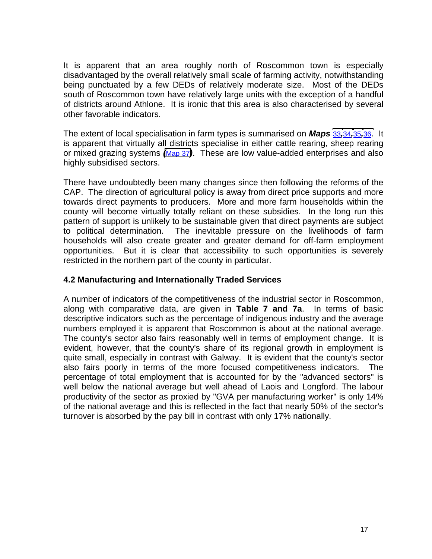<span id="page-16-0"></span>It is apparent that an area roughly north of Roscommon town is especially disadvantaged by the overall relatively small scale of farming activity, notwithstanding being punctuated by a few DEDs of relatively moderate size. Most of the DEDs south of Roscommon town have relatively large units with the exception of a handful of districts around Athlone. It is ironic that this area is also characterised by several other favorable indicators.

The extent of local specialisation in farm types is summarised on *Maps* 33*,*34*,*35*,*36. It is apparent that virtually all districts specialise in either cattle rearing, sheep rearing or mixed grazing systems *(*Map 37*)*. These are low value-added enterprises and also highly subsidised sectors.

There have undoubtedly been many changes since then following the reforms of the CAP. The direction of agricultural policy is away from direct price supports and more towards direct payments to producers. More and more farm households within the county will become virtually totally reliant on these subsidies. In the long run this pattern of support is unlikely to be sustainable given that direct payments are subject to political determination. The inevitable pressure on the livelihoods of farm households will also create greater and greater demand for off-farm employment opportunities. But it is clear that accessibility to such opportunities is severely restricted in the northern part of the county in particular.

### **4.2 Manufacturing and Internationally Traded Services**

A number of indicators of the competitiveness of the industrial sector in Roscommon, along with comparative data, are given in **Table 7 and 7a**. In terms of basic descriptive indicators such as the percentage of indigenous industry and the average numbers employed it is apparent that Roscommon is about at the national average. The county's sector also fairs reasonably well in terms of employment change. It is evident, however, that the county's share of its regional growth in employment is quite small, especially in contrast with Galway. It is evident that the county's sector also fairs poorly in terms of the more focused competitiveness indicators. The percentage of total employment that is accounted for by the "advanced sectors" is well below the national average but well ahead of Laois and Longford. The labour productivity of the sector as proxied by "GVA per manufacturing worker" is only 14% of the national average and this is reflected in the fact that nearly 50% of the sector's turnover is absorbed by the pay bill in contrast with only 17% nationally.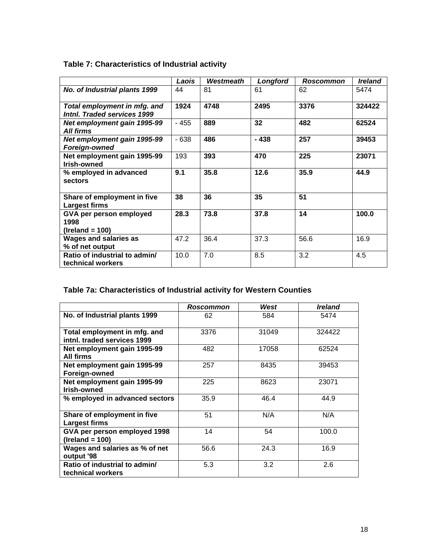|                                                             | Laois  | Westmeath | Longford | Roscommon | <b>Ireland</b> |
|-------------------------------------------------------------|--------|-----------|----------|-----------|----------------|
| No. of Industrial plants 1999                               | 44     | 81        | 61       | 62        | 5474           |
| Total employment in mfg. and<br>Intnl. Traded services 1999 | 1924   | 4748      | 2495     | 3376      | 324422         |
| Net employment gain 1995-99<br><b>All firms</b>             | $-455$ | 889       | 32       | 482       | 62524          |
| Net employment gain 1995-99<br><b>Foreign-owned</b>         | $-638$ | 486       | $-438$   | 257       | 39453          |
| Net employment gain 1995-99<br>Irish-owned                  | 193    | 393       | 470      | 225       | 23071          |
| % employed in advanced<br>sectors                           | 9.1    | 35.8      | 12.6     | 35.9      | 44.9           |
| Share of employment in five<br><b>Largest firms</b>         | 38     | 36        | 35       | 51        |                |
| GVA per person employed<br>1998<br>$(Ireland = 100)$        | 28.3   | 73.8      | 37.8     | 14        | 100.0          |
| <b>Wages and salaries as</b><br>% of net output             | 47.2   | 36.4      | 37.3     | 56.6      | 16.9           |
| Ratio of industrial to admin/<br>technical workers          | 10.0   | 7.0       | 8.5      | 3.2       | 4.5            |

# <span id="page-17-0"></span>**Table 7: Characteristics of Industrial activity**

# **Table 7a: Characteristics of Industrial activity for Western Counties**

|                                                             | <b>Roscommon</b> | West  | <i><b>Ireland</b></i> |
|-------------------------------------------------------------|------------------|-------|-----------------------|
| No. of Industrial plants 1999                               | 62               | 584   | 5474                  |
| Total employment in mfg. and<br>intnl. traded services 1999 | 3376             | 31049 | 324422                |
| Net employment gain 1995-99<br>All firms                    | 482              | 17058 | 62524                 |
| Net employment gain 1995-99<br>Foreign-owned                | 257              | 8435  | 39453                 |
| Net employment gain 1995-99<br>Irish-owned                  | 225              | 8623  | 23071                 |
| % employed in advanced sectors                              | 35.9             | 46.4  | 44.9                  |
| Share of employment in five<br><b>Largest firms</b>         | 51               | N/A   | N/A                   |
| GVA per person employed 1998<br>$(Ireland = 100)$           | 14               | 54    | 100.0                 |
| Wages and salaries as % of net<br>output '98                | 56.6             | 24.3  | 16.9                  |
| Ratio of industrial to admin/<br>technical workers          | 5.3              | 3.2   | 2.6                   |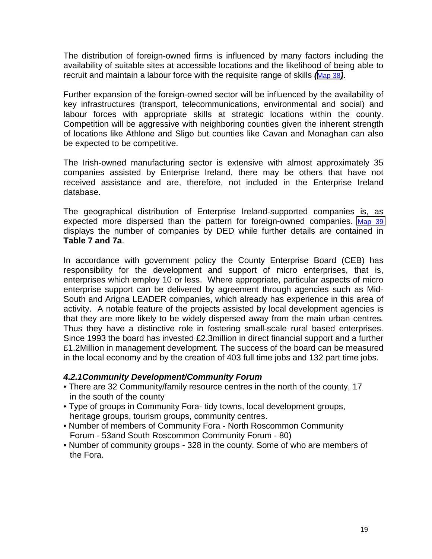The distribution of foreign-owned firms is influenced by many factors including the availability of suitable sites at accessible locations and the likelihood of being able to recruit and maintain a labour force with the requisite range of skills *(*Map 38*)*.

Further expansion of the foreign-owned sector will be influenced by the availability of key infrastructures (transport, telecommunications, environmental and social) and labour forces with appropriate skills at strategic locations within the county. Competition will be aggressive with neighboring counties given the inherent strength of locations like Athlone and Sligo but counties like Cavan and Monaghan can also be expected to be competitive.

The Irish-owned manufacturing sector is extensive with almost approximately 35 companies assisted by Enterprise Ireland, there may be others that have not received assistance and are, therefore, not included in the Enterprise Ireland database.

The geographical distribution of Enterprise Ireland-supported companies is, as expected more dispersed than the pattern for foreign-owned companies. Map 39 displays the number of companies by DED while further details are contained in **Table 7 and 7a**.

In accordance with government policy the County Enterprise Board (CEB) has responsibility for the development and support of micro enterprises, that is, enterprises which employ 10 or less. Where appropriate, particular aspects of micro enterprise support can be delivered by agreement through agencies such as Mid-South and Arigna LEADER companies, which already has experience in this area of activity. A notable feature of the projects assisted by local development agencies is that they are more likely to be widely dispersed away from the main urban centres*.* Thus they have a distinctive role in fostering small-scale rural based enterprises. Since 1993 the board has invested £2.3million in direct financial support and a further £1.2Million in management development. The success of the board can be measured in the local economy and by the creation of 403 full time jobs and 132 part time jobs.

### *4.2.1Community Development/Community Forum*

- There are 32 Community/family resource centres in the north of the county, 17 in the south of the county
- Type of groups in Community Fora- tidy towns, local development groups, heritage groups, tourism groups, community centres.
- Number of members of Community Fora North Roscommon Community Forum - 53and South Roscommon Community Forum - 80)
- Number of community groups 328 in the county. Some of who are members of the Fora.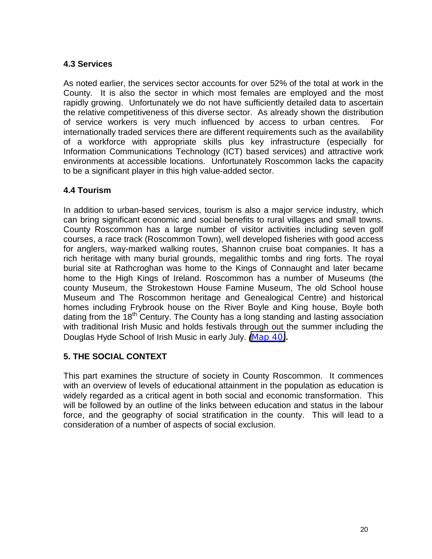# <span id="page-19-0"></span>**4.3 Services**

As noted earlier, the services sector accounts for over 52% of the total at work in the County. It is also the sector in which most females are employed and the most rapidly growing. Unfortunately we do not have sufficiently detailed data to ascertain the relative competitiveness of this diverse sector. As already shown the distribution of service workers is very much influenced by access to urban centres. For internationally traded services there are different requirements such as the availability of a workforce with appropriate skills plus key infrastructure (especially for Information Communications Technology (ICT) based services) and attractive work environments at accessible locations. Unfortunately Roscommon lacks the capacity to be a significant player in this high value-added sector.

## **4.4 Tourism**

In addition to urban-based services, tourism is also a major service industry, which can bring significant economic and social benefits to rural villages and small towns. County Roscommon has a large number of visitor activities including seven golf courses, a race track (Roscommon Town), well developed fisheries with good access for anglers, way-marked walking routes, Shannon cruise boat companies. It has a rich heritage with many burial grounds, megalithic tombs and ring forts. The royal burial site at Rathcroghan was home to the Kings of Connaught and later became home to the High Kings of Ireland. Roscommon has a number of Museums (the county Museum, the Strokestown House Famine Museum, The old School house Museum and The Roscommon heritage and Genealogical Centre) and historical homes including Frybrook house on the River Boyle and King house, Boyle both dating from the 18<sup>th</sup> Century. The County has a long standing and lasting association with traditional Irish Music and holds festivals through out the summer including the Douglas Hyde School of Irish Music in early July. *(*Map 40*)***.**

# **5. THE SOCIAL CONTEXT**

This part examines the structure of society in County Roscommon. It commences with an overview of levels of educational attainment in the population as education is widely regarded as a critical agent in both social and economic transformation. This will be followed by an outline of the links between education and status in the labour force, and the geography of social stratification in the county. This will lead to a consideration of a number of aspects of social exclusion.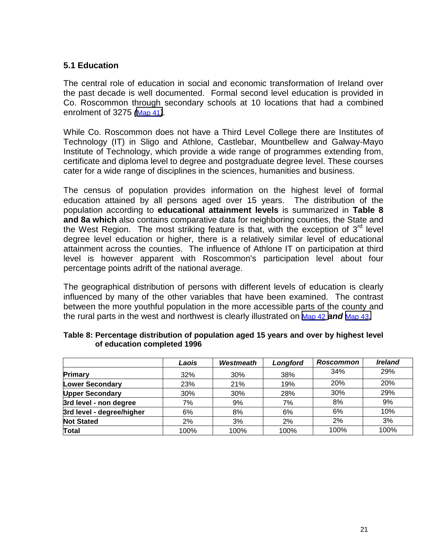# <span id="page-20-0"></span>**5.1 Education**

The central role of education in social and economic transformation of Ireland over the past decade is well documented. Formal second level education is provided in Co. Roscommon through secondary schools at 10 locations that had a combined enrolment of 3275 *(*Map 41*).*

While Co. Roscommon does not have a Third Level College there are Institutes of Technology (IT) in Sligo and Athlone, Castlebar, Mountbellew and Galway-Mayo Institute of Technology, which provide a wide range of programmes extending from, certificate and diploma level to degree and postgraduate degree level. These courses cater for a wide range of disciplines in the sciences, humanities and business.

The census of population provides information on the highest level of formal education attained by all persons aged over 15 years. The distribution of the population according to **educational attainment levels** is summarized in **Table 8 and 8a which** also contains comparative data for neighboring counties, the State and the West Region. The most striking feature is that, with the exception of  $3<sup>rd</sup>$  level degree level education or higher, there is a relatively similar level of educational attainment across the counties. The influence of Athlone IT on participation at third level is however apparent with Roscommon's participation level about four percentage points adrift of the national average.

The geographical distribution of persons with different levels of education is clearly influenced by many of the other variables that have been examined. The contrast between the more youthful population in the more accessible parts of the county and the rural parts in the west and northwest is clearly illustrated on Map 42 *and* Map 43.

|                           | Laois | Westmeath | Longford | Roscommon | <b>Ireland</b> |
|---------------------------|-------|-----------|----------|-----------|----------------|
| Primary                   | 32%   | 30%       | 38%      | 34%       | 29%            |
| <b>Lower Secondary</b>    | 23%   | 21%       | 19%      | 20%       | 20%            |
| <b>Upper Secondary</b>    | 30%   | 30%       | 28%      | 30%       | 29%            |
| 3rd level - non degree    | 7%    | 9%        | 7%       | 8%        | 9%             |
| 3rd level - degree/higher | 6%    | 8%        | 6%       | 6%        | 10%            |
| <b>Not Stated</b>         | 2%    | 3%        | 2%       | 2%        | 3%             |
| <b>Total</b>              | 100%  | 100%      | 100%     | 100%      | 100%           |

#### **Table 8: Percentage distribution of population aged 15 years and over by highest level of education completed 1996**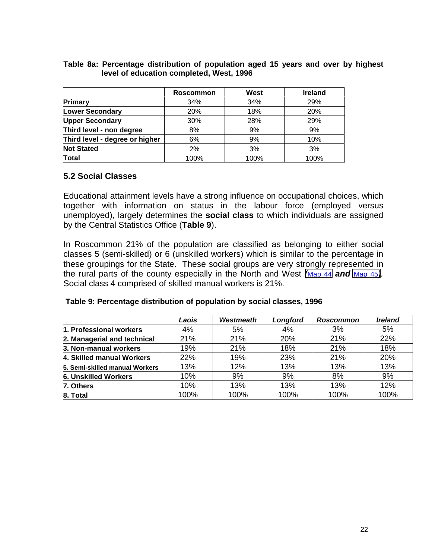#### <span id="page-21-0"></span>**Table 8a: Percentage distribution of population aged 15 years and over by highest level of education completed, West, 1996**

|                                | <b>Roscommon</b> | <b>West</b> | <b>Ireland</b> |
|--------------------------------|------------------|-------------|----------------|
| <b>Primary</b>                 | 34%              | 34%         | 29%            |
| <b>Lower Secondary</b>         | 20%              | 18%         | 20%            |
| <b>Upper Secondary</b>         | 30%              | 28%         | 29%            |
| Third level - non degree       | 8%               | 9%          | 9%             |
| Third level - degree or higher | 6%               | 9%          | 10%            |
| <b>Not Stated</b>              | 2%               | 3%          | 3%             |
| Total                          | 100%             | 100%        | 100%           |

### **5.2 Social Classes**

Educational attainment levels have a strong influence on occupational choices, which together with information on status in the labour force (employed versus unemployed), largely determines the **social class** to which individuals are assigned by the Central Statistics Office (**Table 9**).

In Roscommon 21% of the population are classified as belonging to either social classes 5 (semi-skilled) or 6 (unskilled workers) which is similar to the percentage in these groupings for the State. These social groups are very strongly represented in the rural parts of the county especially in the North and West *(*Map 44 *and* Map 45*).* Social class 4 comprised of skilled manual workers is 21%.

|                                | Laois | Westmeath  | Longford | Roscommon | <b>Ireland</b> |
|--------------------------------|-------|------------|----------|-----------|----------------|
| 1. Professional workers        | 4%    | 5%         | 4%       | 3%        | 5%             |
| 2. Managerial and technical    | 21%   | <b>21%</b> | 20%      | 21%       | 22%            |
| 3. Non-manual workers          | 19%   | 21%        | 18%      | 21%       | 18%            |
| 4. Skilled manual Workers      | 22%   | 19%        | 23%      | 21%       | 20%            |
| 5. Semi-skilled manual Workers | 13%   | 12%        | 13%      | 13%       | 13%            |
| <b>6. Unskilled Workers</b>    | 10%   | 9%         | 9%       | 8%        | 9%             |
| 7. Others                      | 10%   | 13%        | 13%      | 13%       | 12%            |
| 8. Total                       | 100%  | 100%       | 100%     | 100%      | 100%           |

#### **Table 9: Percentage distribution of population by social classes, 1996**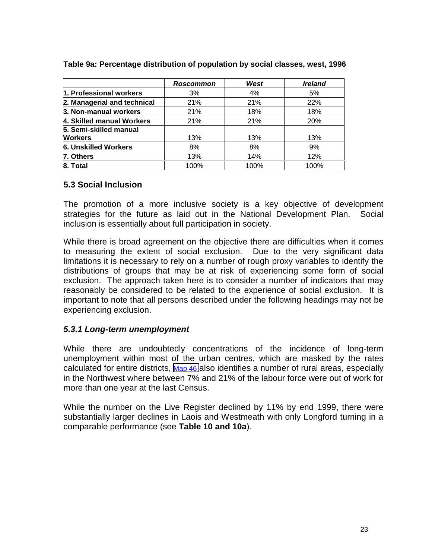|                             | Roscommon | West | <b>Ireland</b> |
|-----------------------------|-----------|------|----------------|
| 1. Professional workers     | 3%        | 4%   | 5%             |
| 2. Managerial and technical | 21%       | 21%  | 22%            |
| 3. Non-manual workers       | 21%       | 18%  | 18%            |
| 4. Skilled manual Workers   | 21%       | 21%  | 20%            |
| 5. Semi-skilled manual      |           |      |                |
| <b>Workers</b>              | 13%       | 13%  | 13%            |
| <b>6. Unskilled Workers</b> | 8%        | 8%   | 9%             |
| 7. Others                   | 13%       | 14%  | 12%            |
| 8. Total                    | 100%      | 100% | 100%           |

#### <span id="page-22-0"></span>**Table 9a: Percentage distribution of population by social classes, west, 1996**

#### **5.3 Social Inclusion**

The promotion of a more inclusive society is a key objective of development strategies for the future as laid out in the National Development Plan. Social inclusion is essentially about full participation in society.

While there is broad agreement on the objective there are difficulties when it comes to measuring the extent of social exclusion. Due to the very significant data limitations it is necessary to rely on a number of rough proxy variables to identify the distributions of groups that may be at risk of experiencing some form of social exclusion. The approach taken here is to consider a number of indicators that may reasonably be considered to be related to the experience of social exclusion. It is important to note that all persons described under the following headings may not be experiencing exclusion.

### *5.3.1 Long-term unemployment*

While there are undoubtedly concentrations of the incidence of long-term unemployment within most of the urban centres, which are masked by the rates calculated for entire districts, Map 46 also identifies a number of rural areas, especially in the Northwest where between 7% and 21% of the labour force were out of work for more than one year at the last Census.

While the number on the Live Register declined by 11% by end 1999, there were substantially larger declines in Laois and Westmeath with only Longford turning in a comparable performance (see **Table 10 and 10a**).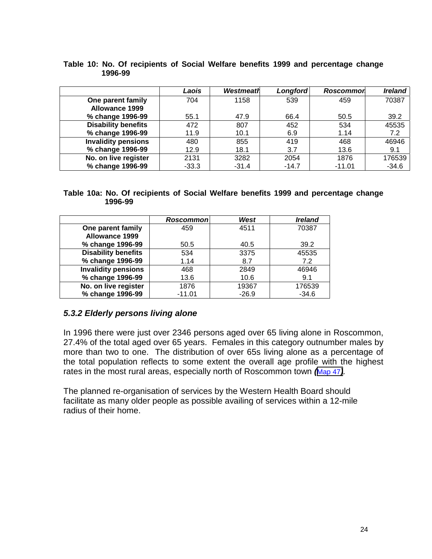|                            | Laois   | <b>Westmeath</b> | <b>Longford</b> | <b>Roscommor</b> | <b>Ireland</b> |
|----------------------------|---------|------------------|-----------------|------------------|----------------|
| One parent family          | 704     | 1158             | 539             | 459              | 70387          |
| <b>Allowance 1999</b>      |         |                  |                 |                  |                |
| % change 1996-99           | 55.1    | 47.9             | 66.4            | 50.5             | 39.2           |
| <b>Disability benefits</b> | 472     | 807              | 452             | 534              | 45535          |
| % change 1996-99           | 11.9    | 10.1             | 6.9             | 1.14             | 7.2            |
| <b>Invalidity pensions</b> | 480     | 855              | 419             | 468              | 46946          |
| % change 1996-99           | 12.9    | 18.1             | 3.7             | 13.6             | 9.1            |
| No. on live register       | 2131    | 3282             | 2054            | 1876             | 176539         |
| % change 1996-99           | $-33.3$ | $-31.4$          | $-14.7$         | $-11.01$         | $-34.6$        |

#### <span id="page-23-0"></span>**Table 10: No. Of recipients of Social Welfare benefits 1999 and percentage change 1996-99**

#### **Table 10a: No. Of recipients of Social Welfare benefits 1999 and percentage change 1996-99**

|                            | Roscommonl | West    | <b>Ireland</b> |
|----------------------------|------------|---------|----------------|
| One parent family          | 459        | 4511    | 70387          |
| <b>Allowance 1999</b>      |            |         |                |
| % change 1996-99           | 50.5       | 40.5    | 39.2           |
| <b>Disability benefits</b> | 534        | 3375    | 45535          |
| % change 1996-99           | 1.14       | 8.7     | 7.2            |
| <b>Invalidity pensions</b> | 468        | 2849    | 46946          |
| % change 1996-99           | 13.6       | 10.6    | 9.1            |
| No. on live register       | 1876       | 19367   | 176539         |
| % change 1996-99           | $-11.01$   | $-26.9$ | $-34.6$        |

# *5.3.2 Elderly persons living alone*

In 1996 there were just over 2346 persons aged over 65 living alone in Roscommon, 27.4% of the total aged over 65 years. Females in this category outnumber males by more than two to one. The distribution of over 65s living alone as a percentage of the total population reflects to some extent the overall age profile with the highest rates in the most rural areas, especially north of Roscommon town *(*Map 47*).*

The planned re-organisation of services by the Western Health Board should facilitate as many older people as possible availing of services within a 12-mile radius of their home.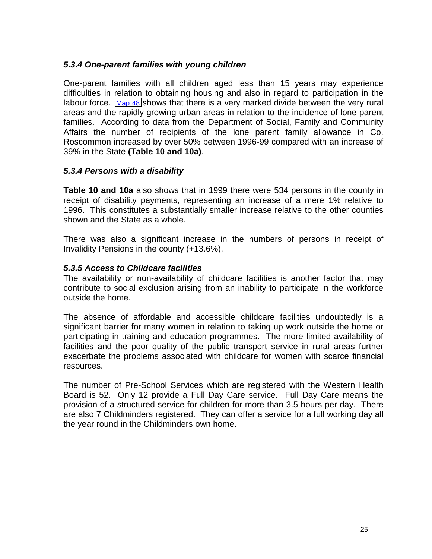### *5.3.4 One-parent families with young children*

One-parent families with all children aged less than 15 years may experience difficulties in relation to obtaining housing and also in regard to participation in the labour force. Map 48 shows that there is a very marked divide between the very rural areas and the rapidly growing urban areas in relation to the incidence of lone parent families. According to data from the Department of Social, Family and Community Affairs the number of recipients of the lone parent family allowance in Co. Roscommon increased by over 50% between 1996-99 compared with an increase of 39% in the State **(Table 10 and 10a)**.

## *5.3.4 Persons with a disability*

**Table 10 and 10a** also shows that in 1999 there were 534 persons in the county in receipt of disability payments, representing an increase of a mere 1% relative to 1996. This constitutes a substantially smaller increase relative to the other counties shown and the State as a whole.

There was also a significant increase in the numbers of persons in receipt of Invalidity Pensions in the county (+13.6%).

### *5.3.5 Access to Childcare facilities*

The availability or non-availability of childcare facilities is another factor that may contribute to social exclusion arising from an inability to participate in the workforce outside the home.

The absence of affordable and accessible childcare facilities undoubtedly is a significant barrier for many women in relation to taking up work outside the home or participating in training and education programmes. The more limited availability of facilities and the poor quality of the public transport service in rural areas further exacerbate the problems associated with childcare for women with scarce financial resources.

The number of Pre-School Services which are registered with the Western Health Board is 52. Only 12 provide a Full Day Care service. Full Day Care means the provision of a structured service for children for more than 3.5 hours per day. There are also 7 Childminders registered. They can offer a service for a full working day all the year round in the Childminders own home.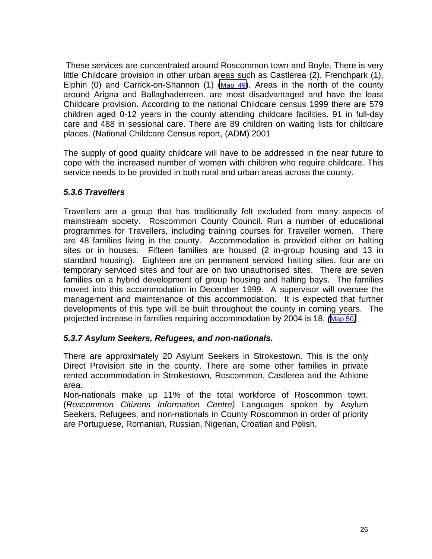These services are concentrated around Roscommon town and Boyle. There is very little Childcare provision in other urban areas such as Castlerea (2), Frenchpark (1), Elphin (0) and Carrick-on-Shannon (1)  $(Map 49)$ . Areas in the north of the county around Arigna and Ballaghaderreen. are most disadvantaged and have the least Childcare provision. According to the national Childcare census 1999 there are 579 children aged 0-12 years in the county attending childcare facilities. 91 in full-day care and 488 in sessional care. There are 89 children on waiting lists for childcare places. (National Childcare Census report, (ADM) 2001

The supply of good quality childcare will have to be addressed in the near future to cope with the increased number of women with children who require childcare. This service needs to be provided in both rural and urban areas across the county.

## *5.3.6 Travellers*

Travellers are a group that has traditionally felt excluded from many aspects of mainstream society. Roscommon County Council. Run a number of educational programmes for Travellers, including training courses for Traveller women. There are 48 families living in the county. Accommodation is provided either on halting sites or in houses. Fifteen families are housed (2 in-group housing and 13 in standard housing). Eighteen are on permanent serviced halting sites, four are on temporary serviced sites and four are on two unauthorised sites. There are seven families on a hybrid development of group housing and halting bays. The families moved into this accommodation in December 1999. A supervisor will oversee the management and maintenance of this accommodation. It is expected that further developments of this type will be built throughout the county in coming years. The projected increase in families requiring accommodation by 2004 is 18. *(*Map 50*)*

# *5.3.7 Asylum Seekers, Refugees, and non-nationals.*

There are approximately 20 Asylum Seekers in Strokestown. This is the only Direct Provision site in the county. There are some other families in private rented accommodation in Strokestown, Roscommon, Castlerea and the Athlone area.

Non-nationals make up 11% of the total workforce of Roscommon town. (*Roscommon Citizens Information Centre)* Languages spoken by Asylum Seekers, Refugees, and non-nationals in County Roscommon in order of priority are Portuguese, Romanian, Russian, Nigerian, Croatian and Polish.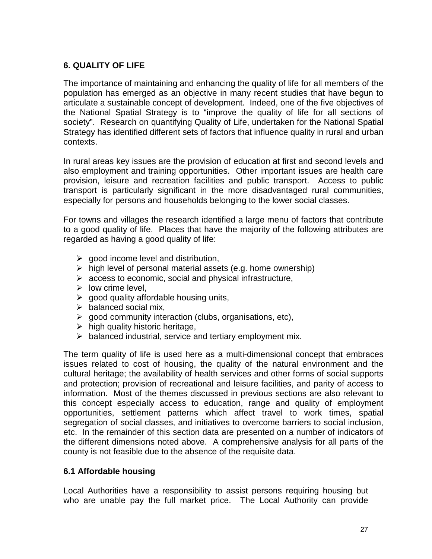# <span id="page-26-0"></span>**6. QUALITY OF LIFE**

The importance of maintaining and enhancing the quality of life for all members of the population has emerged as an objective in many recent studies that have begun to articulate a sustainable concept of development. Indeed, one of the five objectives of the National Spatial Strategy is to "improve the quality of life for all sections of society". Research on quantifying Quality of Life, undertaken for the National Spatial Strategy has identified different sets of factors that influence quality in rural and urban contexts.

In rural areas key issues are the provision of education at first and second levels and also employment and training opportunities. Other important issues are health care provision, leisure and recreation facilities and public transport. Access to public transport is particularly significant in the more disadvantaged rural communities, especially for persons and households belonging to the lower social classes.

For towns and villages the research identified a large menu of factors that contribute to a good quality of life. Places that have the majority of the following attributes are regarded as having a good quality of life:

- $\triangleright$  good income level and distribution,
- $\triangleright$  high level of personal material assets (e.g. home ownership)
- $\triangleright$  access to economic, social and physical infrastructure,
- $\triangleright$  low crime level.
- $\triangleright$  good quality affordable housing units,
- $\triangleright$  balanced social mix,
- $\triangleright$  good community interaction (clubs, organisations, etc),
- $\triangleright$  high quality historic heritage,
- $\triangleright$  balanced industrial, service and tertiary employment mix.

The term quality of life is used here as a multi-dimensional concept that embraces issues related to cost of housing, the quality of the natural environment and the cultural heritage; the availability of health services and other forms of social supports and protection; provision of recreational and leisure facilities, and parity of access to information. Most of the themes discussed in previous sections are also relevant to this concept especially access to education, range and quality of employment opportunities, settlement patterns which affect travel to work times, spatial segregation of social classes, and initiatives to overcome barriers to social inclusion, etc. In the remainder of this section data are presented on a number of indicators of the different dimensions noted above. A comprehensive analysis for all parts of the county is not feasible due to the absence of the requisite data.

# **6.1 Affordable housing**

Local Authorities have a responsibility to assist persons requiring housing but who are unable pay the full market price. The Local Authority can provide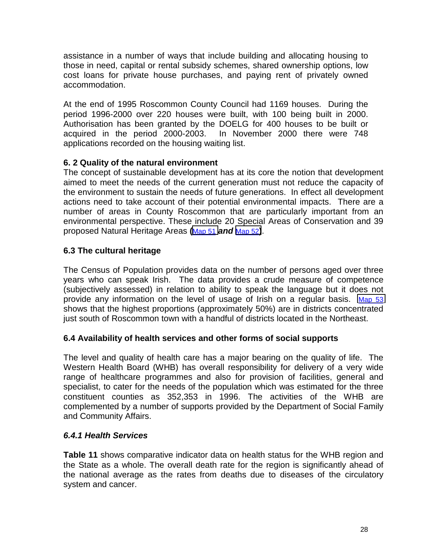<span id="page-27-0"></span>assistance in a number of ways that include building and allocating housing to those in need, capital or rental subsidy schemes, shared ownership options, low cost loans for private house purchases, and paying rent of privately owned accommodation.

At the end of 1995 Roscommon County Council had 1169 houses. During the period 1996-2000 over 220 houses were built, with 100 being built in 2000. Authorisation has been granted by the DOELG for 400 houses to be built or acquired in the period 2000-2003. In November 2000 there were 748 applications recorded on the housing waiting list.

# **6. 2 Quality of the natural environment**

The concept of sustainable development has at its core the notion that development aimed to meet the needs of the current generation must not reduce the capacity of the environment to sustain the needs of future generations. In effect all development actions need to take account of their potential environmental impacts. There are a number of areas in County Roscommon that are particularly important from an environmental perspective. These include 20 Special Areas of Conservation and 39 proposed Natural Heritage Areas **(**Map 51 *and* Map 52**)**.

## **6.3 The cultural heritage**

The Census of Population provides data on the number of persons aged over three years who can speak Irish. The data provides a crude measure of competence (subjectively assessed) in relation to ability to speak the language but it does not provide any information on the level of usage of Irish on a regular basis. Map 53 shows that the highest proportions (approximately 50%) are in districts concentrated just south of Roscommon town with a handful of districts located in the Northeast.

### **6.4 Availability of health services and other forms of social supports**

The level and quality of health care has a major bearing on the quality of life. The Western Health Board (WHB) has overall responsibility for delivery of a very wide range of healthcare programmes and also for provision of facilities, general and specialist, to cater for the needs of the population which was estimated for the three constituent counties as 352,353 in 1996. The activities of the WHB are complemented by a number of supports provided by the Department of Social Family and Community Affairs.

### *6.4.1 Health Services*

**Table 11** shows comparative indicator data on health status for the WHB region and the State as a whole. The overall death rate for the region is significantly ahead of the national average as the rates from deaths due to diseases of the circulatory system and cancer.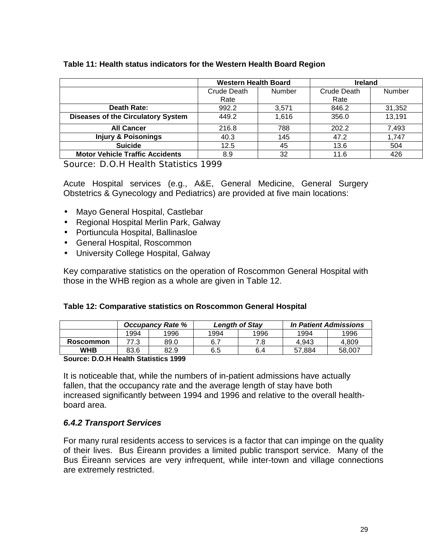<span id="page-28-0"></span>

| Table 11: Health status indicators for the Western Health Board Region |  |
|------------------------------------------------------------------------|--|
|------------------------------------------------------------------------|--|

|                                           | <b>Western Health Board</b> |       | <b>Ireland</b> |        |
|-------------------------------------------|-----------------------------|-------|----------------|--------|
|                                           | Crude Death<br>Number       |       | Crude Death    | Number |
|                                           | Rate                        |       | Rate           |        |
| Death Rate:                               | 992.2                       | 3.571 | 846.2          | 31,352 |
| <b>Diseases of the Circulatory System</b> | 449.2                       | 1,616 | 356.0          | 13,191 |
| <b>All Cancer</b>                         | 216.8                       | 788   | 202.2          | 7,493  |
| <b>Injury &amp; Poisonings</b>            | 40.3                        | 145   | 47.2           | 1,747  |
| <b>Suicide</b>                            | 12.5                        | 45    | 13.6           | 504    |
| <b>Motor Vehicle Traffic Accidents</b>    | 8.9                         | 32    | 11.6           | 426    |

Source: D.O.H Health Statistics 1999

Acute Hospital services (e.g., A&E, General Medicine, General Surgery Obstetrics & Gynecology and Pediatrics) are provided at five main locations:

- Mayo General Hospital, Castlebar
- Regional Hospital Merlin Park, Galway
- Portiuncula Hospital, Ballinasloe
- General Hospital, Roscommon
- University College Hospital, Galway

Key comparative statistics on the operation of Roscommon General Hospital with those in the WHB region as a whole are given in Table 12.

|  | Table 12: Comparative statistics on Roscommon General Hospital |  |  |  |  |
|--|----------------------------------------------------------------|--|--|--|--|
|--|----------------------------------------------------------------|--|--|--|--|

|           | <b>Occupancy Rate %</b> |      | <b>Length of Stay</b> |      | <b>In Patient Admissions</b> |        |
|-----------|-------------------------|------|-----------------------|------|------------------------------|--------|
|           | 1994                    | 1996 | 1994                  | 1996 | 1994                         | 1996   |
| Roscommon | 77.3                    | 89.0 |                       | 7.8  | 4.943                        | 4.809  |
| WHB       | 83.6                    | 82.9 | 6.5                   | 6.4  | 57.884                       | 58.007 |

**Source: D.O.H Health Statistics 1999**

It is noticeable that, while the numbers of in-patient admissions have actually fallen, that the occupancy rate and the average length of stay have both increased significantly between 1994 and 1996 and relative to the overall healthboard area.

# *6.4.2 Transport Services*

For many rural residents access to services is a factor that can impinge on the quality of their lives. Bus Éireann provides a limited public transport service. Many of the Bus Éireann services are very infrequent, while inter-town and village connections are extremely restricted.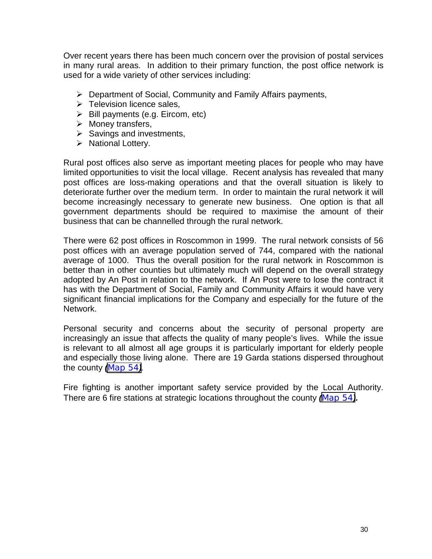Over recent years there has been much concern over the provision of postal services in many rural areas. In addition to their primary function, the post office network is used for a wide variety of other services including:

- $\triangleright$  Department of Social, Community and Family Affairs payments,
- $\triangleright$  Television licence sales,
- $\triangleright$  Bill payments (e.g. Eircom, etc)
- $\triangleright$  Money transfers,
- $\triangleright$  Savings and investments,
- $\triangleright$  National Lottery.

Rural post offices also serve as important meeting places for people who may have limited opportunities to visit the local village. Recent analysis has revealed that many post offices are loss-making operations and that the overall situation is likely to deteriorate further over the medium term. In order to maintain the rural network it will become increasingly necessary to generate new business. One option is that all government departments should be required to maximise the amount of their business that can be channelled through the rural network.

There were 62 post offices in Roscommon in 1999. The rural network consists of 56 post offices with an average population served of 744, compared with the national average of 1000. Thus the overall position for the rural network in Roscommon is better than in other counties but ultimately much will depend on the overall strategy adopted by An Post in relation to the network. If An Post were to lose the contract it has with the Department of Social, Family and Community Affairs it would have very significant financial implications for the Company and especially for the future of the Network.

Personal security and concerns about the security of personal property are increasingly an issue that affects the quality of many people's lives. While the issue is relevant to all almost all age groups it is particularly important for elderly people and especially those living alone. There are 19 Garda stations dispersed throughout the county *(*Map 54*).*

Fire fighting is another important safety service provided by the Local Authority. There are 6 fire stations at strategic locations throughout the county *(*Map 54*).*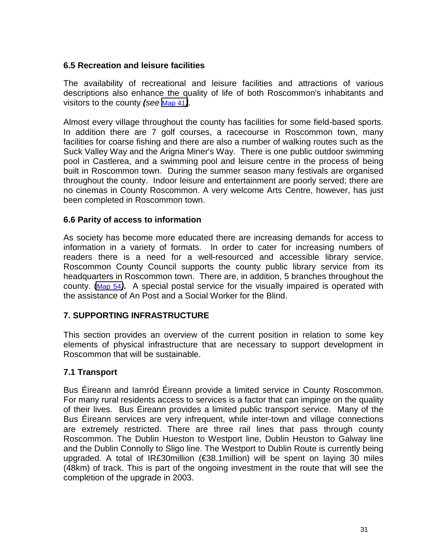## <span id="page-30-0"></span>**6.5 Recreation and leisure facilities**

The availability of recreational and leisure facilities and attractions of various descriptions also enhance the quality of life of both Roscommon's inhabitants and visitors to the county *(see* Map 41*)*.

Almost every village throughout the county has facilities for some field-based sports. In addition there are 7 golf courses, a racecourse in Roscommon town, many facilities for coarse fishing and there are also a number of walking routes such as the Suck Valley Way and the Arigna Miner's Way. There is one public outdoor swimming pool in Castlerea, and a swimming pool and leisure centre in the process of being built in Roscommon town. During the summer season many festivals are organised throughout the county. Indoor leisure and entertainment are poorly served; there are no cinemas in County Roscommon. A very welcome Arts Centre, however, has just been completed in Roscommon town.

### **6.6 Parity of access to information**

As society has become more educated there are increasing demands for access to information in a variety of formats. In order to cater for increasing numbers of readers there is a need for a well-resourced and accessible library service. Roscommon County Council supports the county public library service from its headquarters in Roscommon town. There are, in addition, 5 branches throughout the county. (Map 54*).* A special postal service for the visually impaired is operated with the assistance of An Post and a Social Worker for the Blind.

### **7. SUPPORTING INFRASTRUCTURE**

This section provides an overview of the current position in relation to some key elements of physical infrastructure that are necessary to support development in Roscommon that will be sustainable.

# **7.1 Transport**

Bus Éireann and Iarnród Éireann provide a limited service in County Roscommon. For many rural residents access to services is a factor that can impinge on the quality of their lives. Bus Éireann provides a limited public transport service. Many of the Bus Éireann services are very infrequent, while inter-town and village connections are extremely restricted. There are three rail lines that pass through county Roscommon. The Dublin Hueston to Westport line, Dublin Heuston to Galway line and the Dublin Connolly to Sligo line. The Westport to Dublin Route is currently being upgraded. A total of IR£30million (€38.1million) will be spent on laying 30 miles (48km) of track. This is part of the ongoing investment in the route that will see the completion of the upgrade in 2003.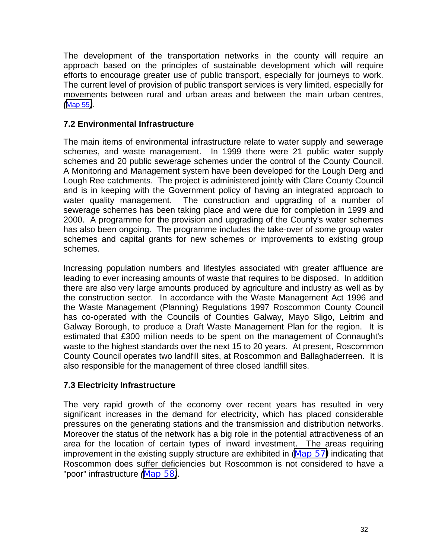<span id="page-31-0"></span>The development of the transportation networks in the county will require an approach based on the principles of sustainable development which will require efforts to encourage greater use of public transport, especially for journeys to work. The current level of provision of public transport services is very limited, especially for movements between rural and urban areas and between the main urban centres, *(*Map 55*)*.

## **7.2 Environmental Infrastructure**

The main items of environmental infrastructure relate to water supply and sewerage schemes, and waste management. In 1999 there were 21 public water supply schemes and 20 public sewerage schemes under the control of the County Council. A Monitoring and Management system have been developed for the Lough Derg and Lough Ree catchments. The project is administered jointly with Clare County Council and is in keeping with the Government policy of having an integrated approach to water quality management. The construction and upgrading of a number of sewerage schemes has been taking place and were due for completion in 1999 and 2000. A programme for the provision and upgrading of the County's water schemes has also been ongoing. The programme includes the take-over of some group water schemes and capital grants for new schemes or improvements to existing group schemes.

Increasing population numbers and lifestyles associated with greater affluence are leading to ever increasing amounts of waste that requires to be disposed. In addition there are also very large amounts produced by agriculture and industry as well as by the construction sector. In accordance with the Waste Management Act 1996 and the Waste Management (Planning) Regulations 1997 Roscommon County Council has co-operated with the Councils of Counties Galway, Mayo Sligo, Leitrim and Galway Borough, to produce a Draft Waste Management Plan for the region. It is estimated that £300 million needs to be spent on the management of Connaught's waste to the highest standards over the next 15 to 20 years. At present, Roscommon County Council operates two landfill sites, at Roscommon and Ballaghaderreen. It is also responsible for the management of three closed landfill sites.

### **7.3 Electricity Infrastructure**

The very rapid growth of the economy over recent years has resulted in very significant increases in the demand for electricity, which has placed considerable pressures on the generating stations and the transmission and distribution networks. Moreover the status of the network has a big role in the potential attractiveness of an area for the location of certain types of inward investment. The areas requiring improvement in the existing supply structure are exhibited in (Map 57*)* indicating that Roscommon does suffer deficiencies but Roscommon is not considered to have a "poor" infrastructure *(*Map 58*)*.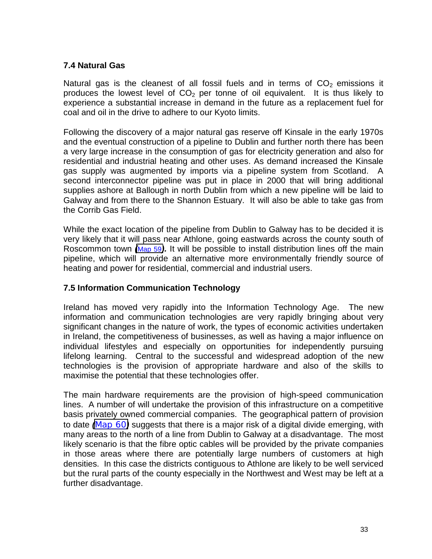# <span id="page-32-0"></span>**7.4 Natural Gas**

Natural gas is the cleanest of all fossil fuels and in terms of  $CO<sub>2</sub>$  emissions it produces the lowest level of  $CO<sub>2</sub>$  per tonne of oil equivalent. It is thus likely to experience a substantial increase in demand in the future as a replacement fuel for coal and oil in the drive to adhere to our Kyoto limits.

Following the discovery of a major natural gas reserve off Kinsale in the early 1970s and the eventual construction of a pipeline to Dublin and further north there has been a very large increase in the consumption of gas for electricity generation and also for residential and industrial heating and other uses. As demand increased the Kinsale gas supply was augmented by imports via a pipeline system from Scotland. A second interconnector pipeline was put in place in 2000 that will bring additional supplies ashore at Ballough in north Dublin from which a new pipeline will be laid to Galway and from there to the Shannon Estuary. It will also be able to take gas from the Corrib Gas Field.

While the exact location of the pipeline from Dublin to Galway has to be decided it is very likely that it will pass near Athlone, going eastwards across the county south of Roscommon town *(*Map 59*).* It will be possible to install distribution lines off the main pipeline, which will provide an alternative more environmentally friendly source of heating and power for residential, commercial and industrial users.

# **7.5 Information Communication Technology**

Ireland has moved very rapidly into the Information Technology Age. The new information and communication technologies are very rapidly bringing about very significant changes in the nature of work, the types of economic activities undertaken in Ireland, the competitiveness of businesses, as well as having a major influence on individual lifestyles and especially on opportunities for independently pursuing lifelong learning. Central to the successful and widespread adoption of the new technologies is the provision of appropriate hardware and also of the skills to maximise the potential that these technologies offer.

The main hardware requirements are the provision of high-speed communication lines. A number of will undertake the provision of this infrastructure on a competitive basis privately owned commercial companies. The geographical pattern of provision to date *(*Map 60*)* suggests that there is a major risk of a digital divide emerging, with many areas to the north of a line from Dublin to Galway at a disadvantage. The most likely scenario is that the fibre optic cables will be provided by the private companies in those areas where there are potentially large numbers of customers at high densities. In this case the districts contiguous to Athlone are likely to be well serviced but the rural parts of the county especially in the Northwest and West may be left at a further disadvantage.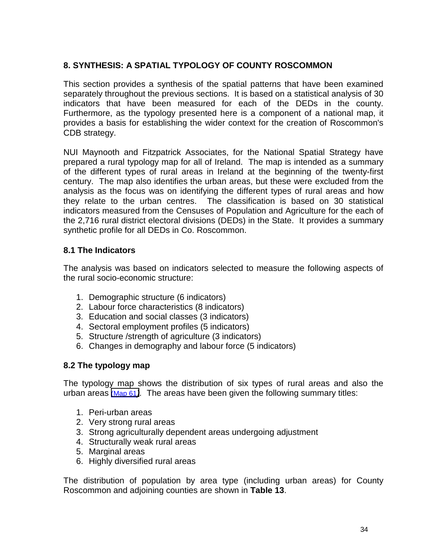# <span id="page-33-0"></span>**8. SYNTHESIS: A SPATIAL TYPOLOGY OF COUNTY ROSCOMMON**

This section provides a synthesis of the spatial patterns that have been examined separately throughout the previous sections. It is based on a statistical analysis of 30 indicators that have been measured for each of the DEDs in the county. Furthermore, as the typology presented here is a component of a national map, it provides a basis for establishing the wider context for the creation of Roscommon's CDB strategy.

NUI Maynooth and Fitzpatrick Associates, for the National Spatial Strategy have prepared a rural typology map for all of Ireland. The map is intended as a summary of the different types of rural areas in Ireland at the beginning of the twenty-first century. The map also identifies the urban areas, but these were excluded from the analysis as the focus was on identifying the different types of rural areas and how they relate to the urban centres. The classification is based on 30 statistical indicators measured from the Censuses of Population and Agriculture for the each of the 2,716 rural district electoral divisions (DEDs) in the State. It provides a summary synthetic profile for all DEDs in Co. Roscommon.

## **8.1 The Indicators**

The analysis was based on indicators selected to measure the following aspects of the rural socio-economic structure:

- 1. Demographic structure (6 indicators)
- 2. Labour force characteristics (8 indicators)
- 3. Education and social classes (3 indicators)
- 4. Sectoral employment profiles (5 indicators)
- 5. Structure /strength of agriculture (3 indicators)
- 6. Changes in demography and labour force (5 indicators)

# **8.2 The typology map**

The typology map shows the distribution of six types of rural areas and also the urban areas (Map 61*).* The areas have been given the following summary titles:

- 1. Peri-urban areas
- 2. Very strong rural areas
- 3. Strong agriculturally dependent areas undergoing adjustment
- 4. Structurally weak rural areas
- 5. Marginal areas
- 6. Highly diversified rural areas

The distribution of population by area type (including urban areas) for County Roscommon and adjoining counties are shown in **Table 13**.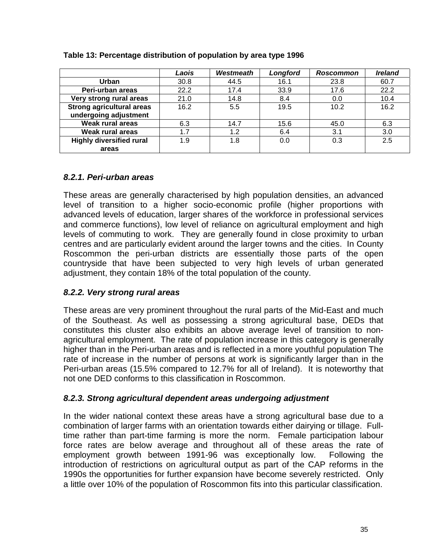|                                  | Laois | Westmeath | Longford | <b>Roscommon</b> | <b>Ireland</b> |
|----------------------------------|-------|-----------|----------|------------------|----------------|
| Urban                            | 30.8  | 44.5      | 16.1     | 23.8             | 60.7           |
| Peri-urban areas                 | 22.2  | 17.4      | 33.9     | 17.6             | 22.2           |
| Very strong rural areas          | 21.0  | 14.8      | 8.4      | 0.0              | 10.4           |
| <b>Strong agricultural areas</b> | 16.2  | 5.5       | 19.5     | 10.2             | 16.2           |
| undergoing adjustment            |       |           |          |                  |                |
| <b>Weak rural areas</b>          | 6.3   | 14.7      | 15.6     | 45.0             | 6.3            |
| Weak rural areas                 | 1.7   | 1.2       | 6.4      | 3.1              | 3.0            |
| <b>Highly diversified rural</b>  | 1.9   | 1.8       | 0.0      | 0.3              | 2.5            |
| areas                            |       |           |          |                  |                |

#### <span id="page-34-0"></span>**Table 13: Percentage distribution of population by area type 1996**

## *8.2.1. Peri-urban areas*

These areas are generally characterised by high population densities, an advanced level of transition to a higher socio-economic profile (higher proportions with advanced levels of education, larger shares of the workforce in professional services and commerce functions), low level of reliance on agricultural employment and high levels of commuting to work. They are generally found in close proximity to urban centres and are particularly evident around the larger towns and the cities. In County Roscommon the peri-urban districts are essentially those parts of the open countryside that have been subjected to very high levels of urban generated adjustment, they contain 18% of the total population of the county.

# *8.2.2. Very strong rural areas*

These areas are very prominent throughout the rural parts of the Mid-East and much of the Southeast. As well as possessing a strong agricultural base, DEDs that constitutes this cluster also exhibits an above average level of transition to nonagricultural employment. The rate of population increase in this category is generally higher than in the Peri-urban areas and is reflected in a more youthful population The rate of increase in the number of persons at work is significantly larger than in the Peri-urban areas (15.5% compared to 12.7% for all of Ireland). It is noteworthy that not one DED conforms to this classification in Roscommon.

### *8.2.3. Strong agricultural dependent areas undergoing adjustment*

In the wider national context these areas have a strong agricultural base due to a combination of larger farms with an orientation towards either dairying or tillage. Fulltime rather than part-time farming is more the norm. Female participation labour force rates are below average and throughout all of these areas the rate of employment growth between 1991-96 was exceptionally low. Following the introduction of restrictions on agricultural output as part of the CAP reforms in the 1990s the opportunities for further expansion have become severely restricted. Only a little over 10% of the population of Roscommon fits into this particular classification.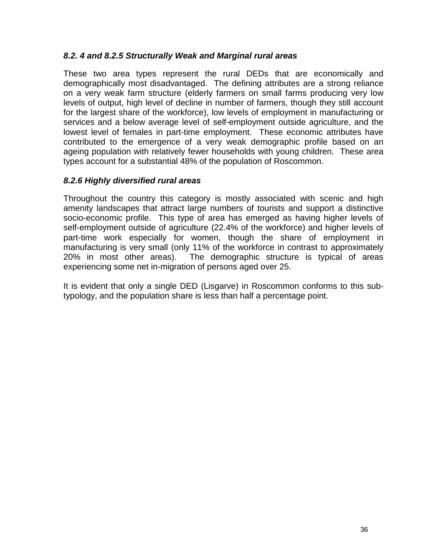### *8.2. 4 and 8.2.5 Structurally Weak and Marginal rural areas*

These two area types represent the rural DEDs that are economically and demographically most disadvantaged. The defining attributes are a strong reliance on a very weak farm structure (elderly farmers on small farms producing very low levels of output, high level of decline in number of farmers, though they still account for the largest share of the workforce), low levels of employment in manufacturing or services and a below average level of self-employment outside agriculture, and the lowest level of females in part-time employment. These economic attributes have contributed to the emergence of a very weak demographic profile based on an ageing population with relatively fewer households with young children. These area types account for a substantial 48% of the population of Roscommon.

### *8.2.6 Highly diversified rural areas*

Throughout the country this category is mostly associated with scenic and high amenity landscapes that attract large numbers of tourists and support a distinctive socio-economic profile. This type of area has emerged as having higher levels of self-employment outside of agriculture (22.4% of the workforce) and higher levels of part-time work especially for women, though the share of employment in manufacturing is very small (only 11% of the workforce in contrast to approximately 20% in most other areas). The demographic structure is typical of areas experiencing some net in-migration of persons aged over 25.

It is evident that only a single DED (Lisgarve) in Roscommon conforms to this subtypology, and the population share is less than half a percentage point.